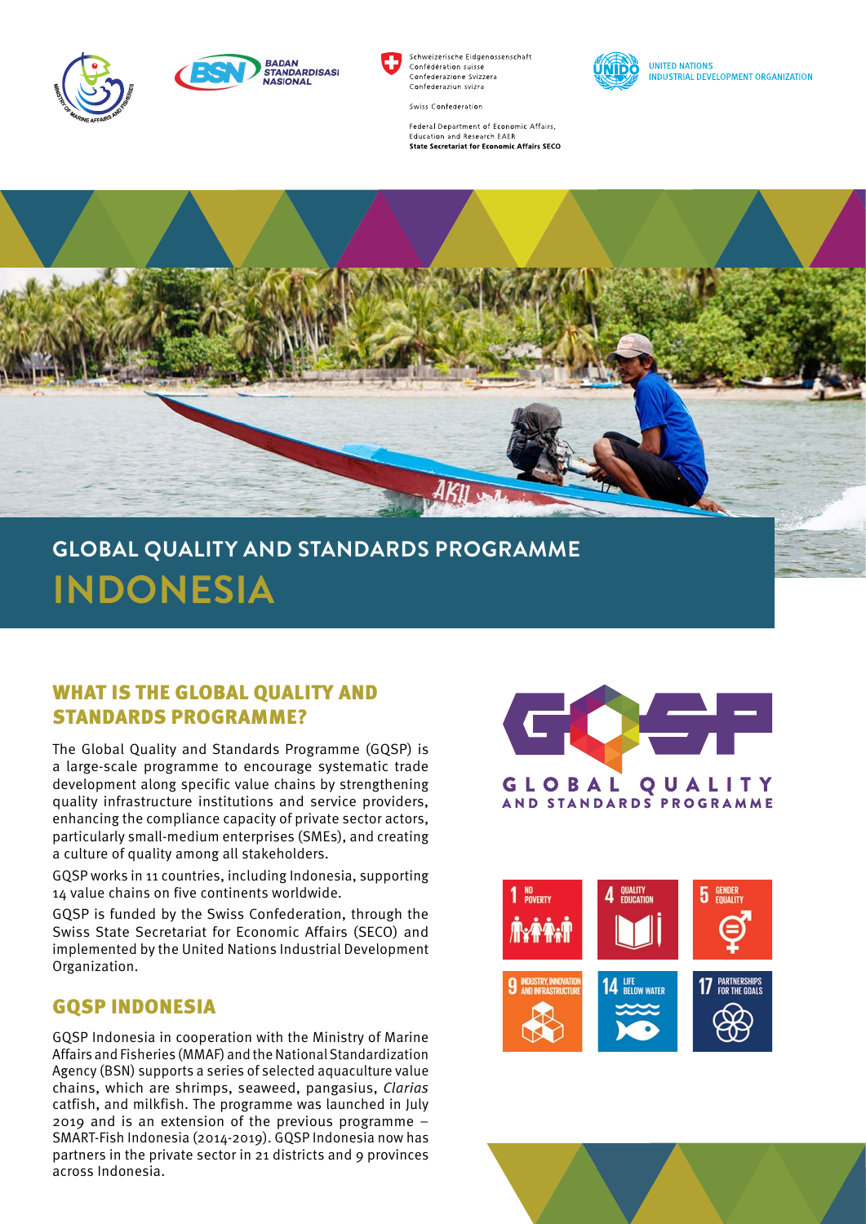



Schweizerische Eidgenossenschaft Confédération suisse Confederazione Svizzera Confederaziun svizra



**UNITED NATIONS INDUSTRIAL DEVELOPMENT ORGANIZATION** 

Swiss Confederation

Federal Department of Economic Affairs, **Education and Research EAER State Secretariat for Economic Affairs SECO** 



## **GLOBAL QUALITY AND STANDARDS PROGRAMME INDONESIA**

## WHAT IS THE GLOBAL OUALITY AND STANDARDS PROGRAMME?

The Global Quality and Standards Programme (GQSP) is a large-scale programme to encourage systematic trade development along specific value chains by strengthening quality infrastructure institutions and service providers, enhancing the compliance capacity of private sector actors, particularly small-medium enterprises (SMEs), and creating a culture of quality among all stakeholders.

GQSP works in 11 countries, including Indonesia, supporting 14 value chains on five continents worldwide.

GQSP is funded by the Swiss Confederation, through the Swiss State Secretariat for Economic Affairs (SECO) and implemented by the United Nations Industrial Development Organization.

## GQSP INDONESIA

GQSP Indonesia in cooperation with the Ministry of Marine Affairs and Fisheries (MMAF) and the National Standardization Agency (BSN) supports a series of selected aquaculture value chains, which are shrimps, seaweed, pangasius, *Clarias* catfish, and milkfish. The programme was launched in July 2019 and is an extension of the previous programme – SMART-Fish Indonesia (2014-2019). GQSP Indonesia now has partners in the private sector in 21 districts and 9 provinces across Indonesia.